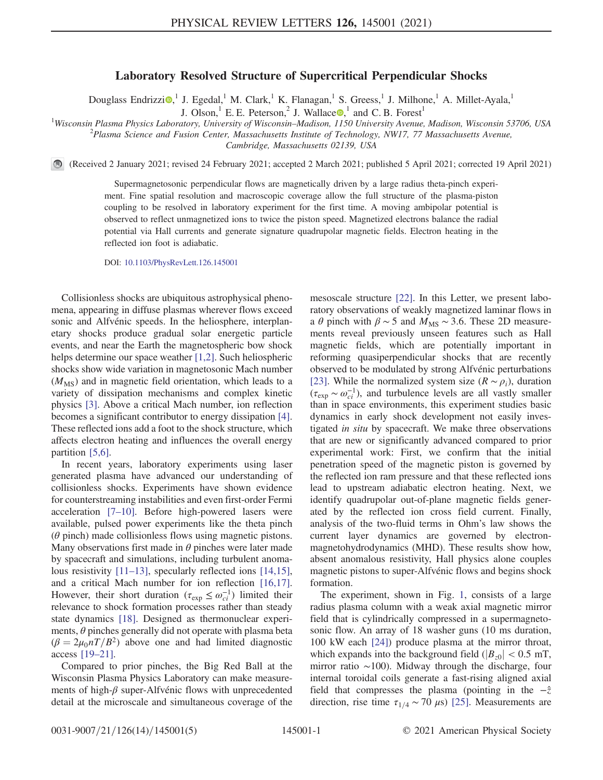## Laboratory Resolved Structure of Supercritical Perpendicular Shocks

Douglass Endrizzi $\odot$ ,<sup>1</sup> J. Egedal,<sup>1</sup> M. Clark,<sup>1</sup> K. Flanagan,<sup>1</sup> S. Greess,<sup>1</sup> J. Milhone,<sup>1</sup> A. Millet-Ayala,<sup>1</sup>

J. Olson,<sup>1</sup> E. E. Peterson,<sup>2</sup> J. Wallace  $\bullet$ ,<sup>1</sup> and C. B. Forest<sup>1</sup>

<sup>1</sup>Wisconsin Plasma Physics Laboratory, University of Wisconsin–Madison, 1150 University Avenue, Madison, Wisconsin 53706, USA <sup>2</sup> Plasma Science and Eusion Center, Massachusetts Institute of Technology, NW17, 77 Massachus

 $P$ lasma Science and Fusion Center, Massachusetts Institute of Technology, NW17, 77 Massachusetts Avenue,

Cambridge, Massachusetts 02139, USA

(Received 2 January 2021; revised 24 February 2021; accepted 2 March 2021; published 5 April 2021; corrected 19 April 2021)

Supermagnetosonic perpendicular flows are magnetically driven by a large radius theta-pinch experiment. Fine spatial resolution and macroscopic coverage allow the full structure of the plasma-piston coupling to be resolved in laboratory experiment for the first time. A moving ambipolar potential is observed to reflect unmagnetized ions to twice the piston speed. Magnetized electrons balance the radial potential via Hall currents and generate signature quadrupolar magnetic fields. Electron heating in the reflected ion foot is adiabatic.

DOI: [10.1103/PhysRevLett.126.145001](https://doi.org/10.1103/PhysRevLett.126.145001)

Collisionless shocks are ubiquitous astrophysical phenomena, appearing in diffuse plasmas wherever flows exceed sonic and Alfvénic speeds. In the heliosphere, interplanetary shocks produce gradual solar energetic particle events, and near the Earth the magnetospheric bow shock helps determine our space weather [\[1,2\].](#page-3-0) Such heliospheric shocks show wide variation in magnetosonic Mach number  $(M_{\rm MS})$  and in magnetic field orientation, which leads to a variety of dissipation mechanisms and complex kinetic physics [\[3\].](#page-4-0) Above a critical Mach number, ion reflection becomes a significant contributor to energy dissipation [\[4\]](#page-4-1). These reflected ions add a foot to the shock structure, which affects electron heating and influences the overall energy partition [\[5,6\].](#page-4-2)

In recent years, laboratory experiments using laser generated plasma have advanced our understanding of collisionless shocks. Experiments have shown evidence for counterstreaming instabilities and even first-order Fermi acceleration [7–[10\].](#page-4-3) Before high-powered lasers were available, pulsed power experiments like the theta pinch  $(\theta$  pinch) made collisionless flows using magnetic pistons. Many observations first made in  $\theta$  pinches were later made by spacecraft and simulations, including turbulent anomalous resistivity [\[11](#page-4-4)–13], specularly reflected ions [\[14,15\]](#page-4-5), and a critical Mach number for ion reflection [\[16,17\]](#page-4-6). However, their short duration ( $\tau_{\exp} \leq \omega_{ci}^{-1}$ ) limited their relevance to shock formation processes rather than steady state dynamics [\[18\].](#page-4-7) Designed as thermonuclear experiments,  $\theta$  pinches generally did not operate with plasma beta  $(\beta = 2\mu_0 nT/B^2)$  above one and had limited diagnostic access [\[19](#page-4-8)–21].

Compared to prior pinches, the Big Red Ball at the Wisconsin Plasma Physics Laboratory can make measurements of high- $\beta$  super-Alfvénic flows with unprecedented detail at the microscale and simultaneous coverage of the mesoscale structure [\[22\]](#page-4-9). In this Letter, we present laboratory observations of weakly magnetized laminar flows in a  $\theta$  pinch with  $\beta \sim 5$  and  $M_{\text{MS}} \sim 3.6$ . These 2D measurements reveal previously unseen features such as Hall magnetic fields, which are potentially important in reforming quasiperpendicular shocks that are recently observed to be modulated by strong Alfvénic perturbations [\[23\]](#page-4-10). While the normalized system size ( $R \sim \rho_i$ ), duration  $(\tau_{\exp} \sim \omega_{ci}^{-1})$ , and turbulence levels are all vastly smaller than in space environments, this experiment studies basic dynamics in early shock development not easily investigated in situ by spacecraft. We make three observations that are new or significantly advanced compared to prior experimental work: First, we confirm that the initial penetration speed of the magnetic piston is governed by the reflected ion ram pressure and that these reflected ions lead to upstream adiabatic electron heating. Next, we identify quadrupolar out-of-plane magnetic fields generated by the reflected ion cross field current. Finally, analysis of the two-fluid terms in Ohm's law shows the current layer dynamics are governed by electronmagnetohydrodynamics (MHD). These results show how, absent anomalous resistivity, Hall physics alone couples magnetic pistons to super-Alfvénic flows and begins shock formation.

The experiment, shown in Fig. [1,](#page-1-0) consists of a large radius plasma column with a weak axial magnetic mirror field that is cylindrically compressed in a supermagnetosonic flow. An array of 18 washer guns (10 ms duration, 100 kW each [\[24\]](#page-4-11)) produce plasma at the mirror throat, which expands into the background field ( $|B_{z0}| < 0.5$  mT, mirror ratio ∼100). Midway through the discharge, four internal toroidal coils generate a fast-rising aligned axial field that compresses the plasma (pointing in the  $-\hat{z}$ direction, rise time  $\tau_{1/4} \sim 70 \,\mu s$ ) [\[25\]](#page-4-12). Measurements are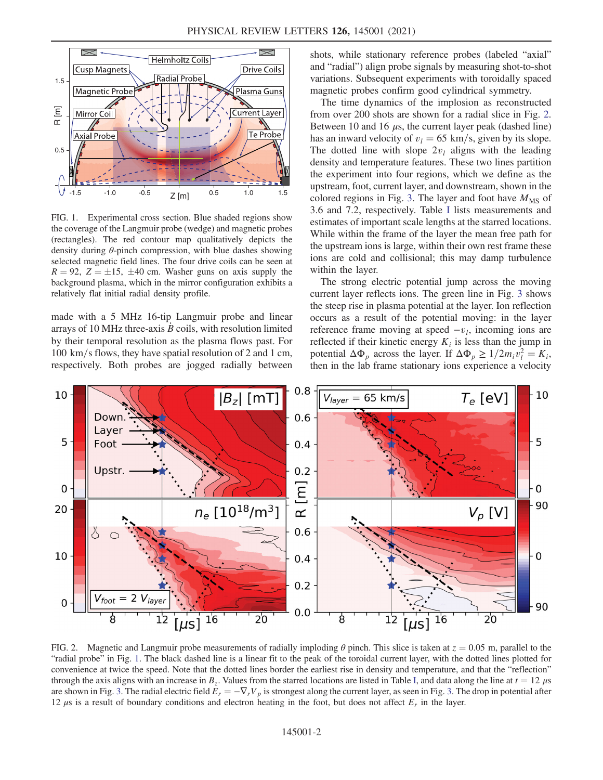<span id="page-1-0"></span>

FIG. 1. Experimental cross section. Blue shaded regions show the coverage of the Langmuir probe (wedge) and magnetic probes (rectangles). The red contour map qualitatively depicts the density during  $\theta$ -pinch compression, with blue dashes showing selected magnetic field lines. The four drive coils can be seen at  $R = 92$ ,  $Z = \pm 15$ ,  $\pm 40$  cm. Washer guns on axis supply the background plasma, which in the mirror configuration exhibits a relatively flat initial radial density profile.

made with a 5 MHz 16-tip Langmuir probe and linear arrays of 10 MHz three-axis  $B$  coils, with resolution limited by their temporal resolution as the plasma flows past. For  $100 \text{ km/s}$  flows, they have spatial resolution of 2 and 1 cm, respectively. Both probes are jogged radially between shots, while stationary reference probes (labeled "axial" and "radial") align probe signals by measuring shot-to-shot variations. Subsequent experiments with toroidally spaced magnetic probes confirm good cylindrical symmetry.

The time dynamics of the implosion as reconstructed from over 200 shots are shown for a radial slice in Fig. [2](#page-1-1). Between 10 and 16  $\mu$ s, the current layer peak (dashed line) has an inward velocity of  $v_l = 65$  km/s, given by its slope. The dotted line with slope  $2v_l$  aligns with the leading density and temperature features. These two lines partition the experiment into four regions, which we define as the upstream, foot, current layer, and downstream, shown in the colored regions in Fig. [3.](#page-2-0) The layer and foot have  $M_{\text{MS}}$  of 3.6 and 7.2, respectively. Table [I](#page-2-1) lists measurements and estimates of important scale lengths at the starred locations. While within the frame of the layer the mean free path for the upstream ions is large, within their own rest frame these ions are cold and collisional; this may damp turbulence within the layer.

The strong electric potential jump across the moving current layer reflects ions. The green line in Fig. [3](#page-2-0) shows the steep rise in plasma potential at the layer. Ion reflection occurs as a result of the potential moving: in the layer reference frame moving at speed  $-v_l$ , incoming ions are reflected if their kinetic energy  $K_i$  is less than the jump in potential  $\Delta \Phi_p$  across the layer. If  $\Delta \Phi_p \ge 1/2m_i v_i^2 = K_i$ , then in the lab frame stationary ions experience a velocity

<span id="page-1-1"></span>

FIG. 2. Magnetic and Langmuir probe measurements of radially imploding  $\theta$  pinch. This slice is taken at  $z = 0.05$  m, parallel to the "radial probe" in Fig. [1](#page-1-0). The black dashed line is a linear fit to the peak of the toroidal current layer, with the dotted lines plotted for convenience at twice the speed. Note that the dotted lines border the earliest rise in density and temperature, and that the "reflection" through the axis aligns with an increase in  $B_z$ . Values from the starred locations are listed in Table [I,](#page-2-1) and data along the line at  $t = 12 \mu s$ are shown in Fig. [3.](#page-2-0) The radial electric field  $E_r = -\nabla_r V_p$  is strongest along the current layer, as seen in Fig. 3. The drop in potential after 12  $\mu$ s is a result of boundary conditions and electron heating in the foot, but does not affect  $E_r$  in the layer.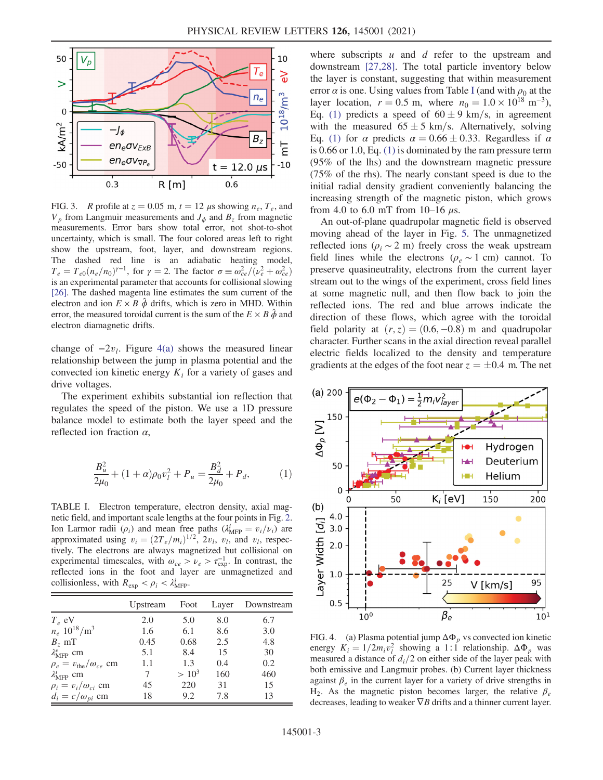<span id="page-2-0"></span>

FIG. 3. R profile at  $z = 0.05$  m,  $t = 12 \mu s$  showing  $n_e$ ,  $T_e$ , and  $V_p$  from Langmuir measurements and  $J_\phi$  and  $B_z$  from magnetic measurements. Error bars show total error, not shot-to-shot uncertainty, which is small. The four colored areas left to right show the upstream, foot, layer, and downstream regions. The dashed red line is an adiabatic heating model,  $T_e = T_{e0}(n_e/n_0)^{\gamma-1}$ , for  $\gamma = 2$ . The factor  $\sigma \equiv \omega_{ce}^2/(\nu_e^2 + \omega_{ce}^2)$ is an experimental parameter that accounts for collisional slowing [\[26\].](#page-4-14) The dashed magenta line estimates the sum current of the electron and ion  $E \times B$   $\hat{\phi}$  drifts, which is zero in MHD. Within error, the measured toroidal current is the sum of the  $E \times B \hat{\phi}$  and electron diamagnetic drifts.

change of  $-2v_l$ . Figure [4\(a\)](#page-2-2) shows the measured linear relationship between the jump in plasma potential and the convected ion kinetic energy  $K_i$  for a variety of gases and drive voltages.

<span id="page-2-3"></span>The experiment exhibits substantial ion reflection that regulates the speed of the piston. We use a 1D pressure balance model to estimate both the layer speed and the reflected ion fraction  $\alpha$ ,

$$
\frac{B_u^2}{2\mu_0} + (1+\alpha)\rho_0 v_l^2 + P_u = \frac{B_d^2}{2\mu_0} + P_d, \tag{1}
$$

<span id="page-2-1"></span>TABLE I. Electron temperature, electron density, axial magnetic field, and important scale lengths at the four points in Fig. [2.](#page-1-1) Ion Larmor radii  $(\rho_i)$  and mean free paths  $(\lambda_{\text{MFP}}^i = v_i/\nu_i)$  are approximated using  $v_i = (2T_e/m_i)^{1/2}$ ,  $2v_i$ ,  $v_i$ , and  $v_i$ , respectively. The electrons are always magnetized but collisional on experimental timescales, with  $\omega_{ce} > \nu_e > \tau_{exp}^{-1}$ . In contrast, the reflected ions in the foot and layer are unmagnetized and collisionless, with  $R_{\text{exp}} < \rho_i < \lambda_{\text{MFP}}^i$ .

|                                          | Upstream | Foot     | Layer | Downstream |
|------------------------------------------|----------|----------|-------|------------|
| $T_e$ eV                                 | 2.0      | 5.0      | 8.0   | 6.7        |
| $n_e$ 10 <sup>18</sup> /m <sup>3</sup>   | 1.6      | 6.1      | 8.6   | 3.0        |
| $B_{7}$ mT                               | 0.45     | 0.68     | 2.5   | 4.8        |
| $\lambda_{\text{MFP}}^e$ cm              | 5.1      | 8.4      | 15    | 30         |
| $\rho_e = v_{\text{the}}/\omega_{ce}$ cm | 1.1      | 1.3      | 0.4   | 0.2        |
| $\lambda_{\text{MFP}}^i$ cm              | 7        | $> 10^3$ | 160   | 460        |
| $\rho_i = v_i/\omega_{ci}$ cm            | 45       | 220      | 31    | 15         |
| $d_i = c/\omega_{pi}$ cm                 | 18       | 9.2      | 7.8   | 13         |

where subscripts  $u$  and  $d$  refer to the upstream and downstream [\[27,28\]](#page-4-13). The total particle inventory below the layer is constant, suggesting that within measurement error  $\alpha$  is one. Using values from Table [I](#page-2-1) (and with  $\rho_0$  at the layer location,  $r = 0.5$  m, where  $n_0 = 1.0 \times 10^{18}$  m<sup>-3</sup>), Eq. [\(1\)](#page-2-3) predicts a speed of  $60 \pm 9$  km/s, in agreement with the measured  $65 \pm 5$  km/s. Alternatively, solving Eq. [\(1\)](#page-2-3) for  $\alpha$  predicts  $\alpha = 0.66 \pm 0.33$ . Regardless if  $\alpha$ is 0.66 or 1.0, Eq. [\(1\)](#page-2-3) is dominated by the ram pressure term (95% of the lhs) and the downstream magnetic pressure (75% of the rhs). The nearly constant speed is due to the initial radial density gradient conveniently balancing the increasing strength of the magnetic piston, which grows from 4.0 to 6.0 mT from 10–16  $\mu$ s.

An out-of-plane quadrupolar magnetic field is observed moving ahead of the layer in Fig. [5](#page-3-1). The unmagnetized reflected ions ( $\rho_i \sim 2$  m) freely cross the weak upstream field lines while the electrons ( $\rho_e \sim 1$  cm) cannot. To preserve quasineutrality, electrons from the current layer stream out to the wings of the experiment, cross field lines at some magnetic null, and then flow back to join the reflected ions. The red and blue arrows indicate the direction of these flows, which agree with the toroidal field polarity at  $(r, z) = (0.6, -0.8)$  m and quadrupolar character. Further scans in the axial direction reveal parallel electric fields localized to the density and temperature gradients at the edges of the foot near  $z = \pm 0.4$  m. The net

<span id="page-2-2"></span>

FIG. 4. (a) Plasma potential jump  $\Delta \Phi_p$  vs convected ion kinetic energy  $K_i = 1/2m_i v_i^2$  showing a 1:1 relationship.  $\Delta \Phi_p$  was measured a distance of  $d_i/2$  on either side of the layer peak with both emissive and Langmuir probes. (b) Current layer thickness against  $\beta_e$  in the current layer for a variety of drive strengths in H<sub>2</sub>. As the magnetic piston becomes larger, the relative  $\beta_e$ decreases, leading to weaker  $\nabla B$  drifts and a thinner current layer.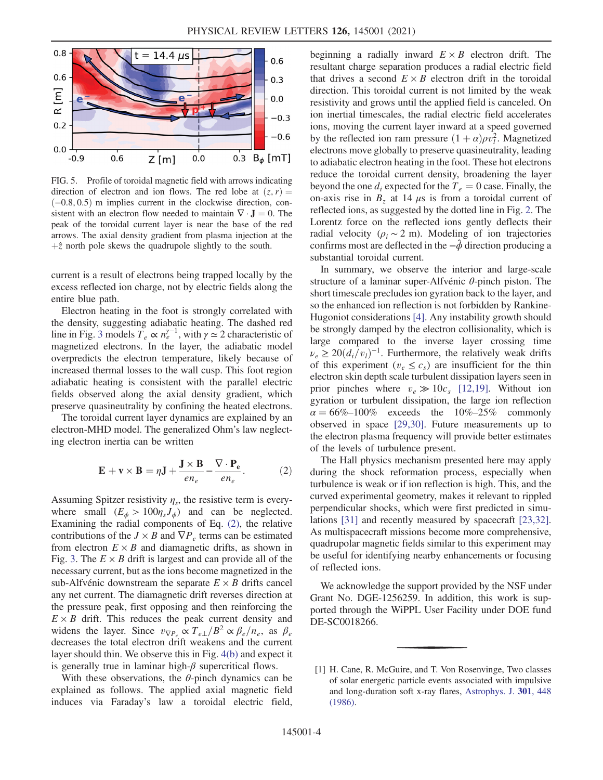<span id="page-3-1"></span>

FIG. 5. Profile of toroidal magnetic field with arrows indicating direction of electron and ion flows. The red lobe at  $(z, r) =$  $(-0.8, 0.5)$  m implies current in the clockwise direction, consistent with an electron flow needed to maintain  $\nabla \cdot \mathbf{J} = 0$ . The peak of the toroidal current layer is near the base of the red arrows. The axial density gradient from plasma injection at the  $+\hat{z}$  north pole skews the quadrupole slightly to the south.

current is a result of electrons being trapped locally by the excess reflected ion charge, not by electric fields along the entire blue path.

Electron heating in the foot is strongly correlated with the density, suggesting adiabatic heating. The dashed red line in Fig. [3](#page-2-0) models  $T_e \propto n_e^{\gamma-1}$ , with  $\gamma \simeq 2$  characteristic of magnetized electrons. In the layer, the adiabatic model overpredicts the electron temperature, likely because of increased thermal losses to the wall cusp. This foot region adiabatic heating is consistent with the parallel electric fields observed along the axial density gradient, which preserve quasineutrality by confining the heated electrons.

<span id="page-3-2"></span>The toroidal current layer dynamics are explained by an electron-MHD model. The generalized Ohm's law neglecting electron inertia can be written

$$
\mathbf{E} + \mathbf{v} \times \mathbf{B} = \eta \mathbf{J} + \frac{\mathbf{J} \times \mathbf{B}}{en_e} - \frac{\nabla \cdot \mathbf{P_e}}{en_e}.
$$
 (2)

Assuming Spitzer resistivity  $\eta_s$ , the resistive term is everywhere small  $(E_{\phi} > 100 \eta_s J_{\phi})$  and can be neglected. Examining the radial components of Eq. [\(2\)](#page-3-2), the relative contributions of the  $J \times B$  and  $\nabla P_e$  terms can be estimated from electron  $E \times B$  and diamagnetic drifts, as shown in Fig. [3.](#page-2-0) The  $E \times B$  drift is largest and can provide all of the necessary current, but as the ions become magnetized in the sub-Alfvénic downstream the separate  $E \times B$  drifts cancel any net current. The diamagnetic drift reverses direction at the pressure peak, first opposing and then reinforcing the  $E \times B$  drift. This reduces the peak current density and widens the layer. Since  $v_{\nabla P_e} \propto T_{e\perp}/B^2 \propto \beta_e/n_e$ , as  $\beta_e$ decreases the total electron drift weakens and the current layer should thin. We observe this in Fig. [4\(b\)](#page-2-2) and expect it is generally true in laminar high- $\beta$  supercritical flows.

With these observations, the  $\theta$ -pinch dynamics can be explained as follows. The applied axial magnetic field induces via Faraday's law a toroidal electric field, beginning a radially inward  $E \times B$  electron drift. The resultant charge separation produces a radial electric field that drives a second  $E \times B$  electron drift in the toroidal direction. This toroidal current is not limited by the weak resistivity and grows until the applied field is canceled. On ion inertial timescales, the radial electric field accelerates ions, moving the current layer inward at a speed governed by the reflected ion ram pressure  $(1 + \alpha)\rho v_i^2$ . Magnetized electrons move globally to preserve quasineutrality, leading to adiabatic electron heating in the foot. These hot electrons reduce the toroidal current density, broadening the layer beyond the one  $d_i$  expected for the  $T_e = 0$  case. Finally, the on-axis rise in  $B<sub>z</sub>$  at 14  $\mu$ s is from a toroidal current of reflected ions, as suggested by the dotted line in Fig. [2.](#page-1-1) The Lorentz force on the reflected ions gently deflects their radial velocity ( $\rho_i \sim 2$  m). Modeling of ion trajectories confirms most are deflected in the  $-\hat{\phi}$  direction producing a substantial toroidal current.

In summary, we observe the interior and large-scale structure of a laminar super-Alfvénic  $\theta$ -pinch piston. The short timescale precludes ion gyration back to the layer, and so the enhanced ion reflection is not forbidden by Rankine-Hugoniot considerations [\[4\]](#page-4-1). Any instability growth should be strongly damped by the electron collisionality, which is large compared to the inverse layer crossing time  $\nu_e \geq 20(d_i/v_i)^{-1}$ . Furthermore, the relatively weak drifts of this experiment ( $v_e \leq c_s$ ) are insufficient for the thin electron skin depth scale turbulent dissipation layers seen in prior pinches where  $v_e \gg 10c_s$  [\[12,19\].](#page-4-15) Without ion gyration or turbulent dissipation, the large ion reflection  $\alpha = 66\% - 100\%$  exceeds the 10%–25% commonly observed in space [\[29,30\]](#page-4-16). Future measurements up to the electron plasma frequency will provide better estimates of the levels of turbulence present.

The Hall physics mechanism presented here may apply during the shock reformation process, especially when turbulence is weak or if ion reflection is high. This, and the curved experimental geometry, makes it relevant to rippled perpendicular shocks, which were first predicted in simulations [\[31\]](#page-4-17) and recently measured by spacecraft [\[23,32\]](#page-4-10). As multispacecraft missions become more comprehensive, quadrupolar magnetic fields similar to this experiment may be useful for identifying nearby enhancements or focusing of reflected ions.

We acknowledge the support provided by the NSF under Grant No. DGE-1256259. In addition, this work is supported through the WiPPL User Facility under DOE fund DE-SC0018266.

<span id="page-3-0"></span><sup>[1]</sup> H. Cane, R. McGuire, and T. Von Rosenvinge, Two classes of solar energetic particle events associated with impulsive and long-duration soft x-ray flares, [Astrophys. J.](https://doi.org/10.1086/163913) 301, 448 [\(1986\).](https://doi.org/10.1086/163913)